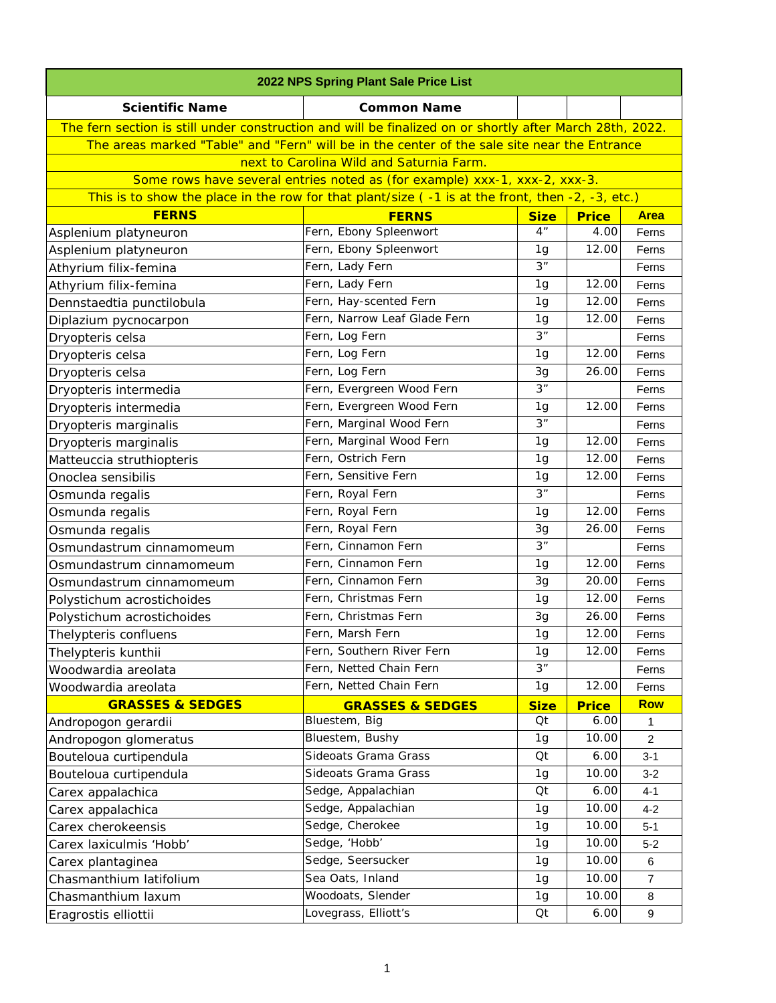| 2022 NPS Spring Plant Sale Price List                                                                    |                                                                                                  |                |              |                |
|----------------------------------------------------------------------------------------------------------|--------------------------------------------------------------------------------------------------|----------------|--------------|----------------|
| <b>Scientific Name</b>                                                                                   | <b>Common Name</b>                                                                               |                |              |                |
| The fern section is still under construction and will be finalized on or shortly after March 28th, 2022. |                                                                                                  |                |              |                |
| The areas marked "Table" and "Fern" will be in the center of the sale site near the Entrance             |                                                                                                  |                |              |                |
|                                                                                                          | next to Carolina Wild and Saturnia Farm.                                                         |                |              |                |
|                                                                                                          | Some rows have several entries noted as (for example) xxx-1, xxx-2, xxx-3.                       |                |              |                |
|                                                                                                          | This is to show the place in the row for that plant/size (-1 is at the front, then -2, -3, etc.) |                |              |                |
| <b>FERNS</b>                                                                                             | <b>FERNS</b>                                                                                     | <b>Size</b>    | <b>Price</b> | <b>Area</b>    |
| Asplenium platyneuron                                                                                    | Fern, Ebony Spleenwort                                                                           | 4 <sup>n</sup> | 4.00         | Ferns          |
| Asplenium platyneuron                                                                                    | Fern, Ebony Spleenwort                                                                           | 1g             | 12.00        | Ferns          |
| Athyrium filix-femina                                                                                    | Fern, Lady Fern                                                                                  | 3"             |              | Ferns          |
| Athyrium filix-femina                                                                                    | Fern, Lady Fern                                                                                  | 1 <sub>g</sub> | 12.00        | Ferns          |
| Dennstaedtia punctilobula                                                                                | Fern, Hay-scented Fern                                                                           | 1g             | 12.00        | Ferns          |
| Diplazium pycnocarpon                                                                                    | Fern, Narrow Leaf Glade Fern                                                                     | 1 <sub>g</sub> | 12.00        | Ferns          |
| Dryopteris celsa                                                                                         | Fern, Log Fern                                                                                   | 3"             |              | Ferns          |
| Dryopteris celsa                                                                                         | Fern, Log Fern                                                                                   | 1 <sub>g</sub> | 12.00        | Ferns          |
| Dryopteris celsa                                                                                         | Fern, Log Fern                                                                                   | 3g             | 26.00        | Ferns          |
| Dryopteris intermedia                                                                                    | Fern, Evergreen Wood Fern                                                                        | 3 <sup>n</sup> |              | Ferns          |
| Dryopteris intermedia                                                                                    | Fern, Evergreen Wood Fern                                                                        | 1 <sub>g</sub> | 12.00        | Ferns          |
| Dryopteris marginalis                                                                                    | Fern, Marginal Wood Fern                                                                         | 3"             |              | Ferns          |
| Dryopteris marginalis                                                                                    | Fern, Marginal Wood Fern                                                                         | 1 <sub>g</sub> | 12.00        | Ferns          |
| Matteuccia struthiopteris                                                                                | Fern, Ostrich Fern                                                                               | 1 <sub>g</sub> | 12.00        | Ferns          |
| Onoclea sensibilis                                                                                       | Fern, Sensitive Fern                                                                             | 1g             | 12.00        | Ferns          |
| Osmunda regalis                                                                                          | Fern, Royal Fern                                                                                 | 3"             |              | Ferns          |
| Osmunda regalis                                                                                          | Fern, Royal Fern                                                                                 | 1 <sub>g</sub> | 12.00        | Ferns          |
| Osmunda regalis                                                                                          | Fern, Royal Fern                                                                                 | 3g             | 26.00        | Ferns          |
| Osmundastrum cinnamomeum                                                                                 | Fern, Cinnamon Fern                                                                              | 3"             |              | Ferns          |
| Osmundastrum cinnamomeum                                                                                 | Fern, Cinnamon Fern                                                                              | 1 <sub>g</sub> | 12.00        | Ferns          |
| Osmundastrum cinnamomeum                                                                                 | Fern, Cinnamon Fern                                                                              | 3g             | 20.00        | Ferns          |
| Polystichum acrostichoides                                                                               | Fern, Christmas Fern                                                                             | 1g             | 12.00        | Ferns          |
| Polystichum acrostichoides                                                                               | Fern, Christmas Fern                                                                             | 3g             | 26.00        | Ferns          |
| Thelypteris confluens                                                                                    | Fern, Marsh Fern                                                                                 | 1g             | 12.00        | Ferns          |
| Thelypteris kunthii                                                                                      | Fern, Southern River Fern                                                                        | 1g             | 12.00        | Ferns          |
| Woodwardia areolata                                                                                      | Fern, Netted Chain Fern                                                                          | 3"             |              | Ferns          |
| Woodwardia areolata                                                                                      | Fern, Netted Chain Fern                                                                          | 1g             | 12.00        | Ferns          |
| <b>GRASSES &amp; SEDGES</b>                                                                              | <b>GRASSES &amp; SEDGES</b>                                                                      | <b>Size</b>    | <b>Price</b> | <b>Row</b>     |
| Andropogon gerardii                                                                                      | Bluestem, Big                                                                                    | Qt             | 6.00         | 1              |
| Andropogon glomeratus                                                                                    | Bluestem, Bushy                                                                                  | 1 <sub>g</sub> | 10.00        | $\overline{2}$ |
| Bouteloua curtipendula                                                                                   | Sideoats Grama Grass                                                                             | Qt             | 6.00         | $3 - 1$        |
| Bouteloua curtipendula                                                                                   | Sideoats Grama Grass                                                                             | 1g             | 10.00        | $3 - 2$        |
| Carex appalachica                                                                                        | Sedge, Appalachian                                                                               | Qt             | 6.00         | $4 - 1$        |
| Carex appalachica                                                                                        | Sedge, Appalachian                                                                               | 1g             | 10.00        | $4 - 2$        |
| Carex cherokeensis                                                                                       | Sedge, Cherokee                                                                                  | 1 <sub>g</sub> | 10.00        | $5 - 1$        |
| Carex laxiculmis 'Hobb'                                                                                  | Sedge, 'Hobb'                                                                                    | 1 <sub>g</sub> | 10.00        | $5 - 2$        |
| Carex plantaginea                                                                                        | Sedge, Seersucker                                                                                | 1g             | 10.00        | 6              |
| Chasmanthium latifolium                                                                                  | Sea Oats, Inland                                                                                 | 1g             | 10.00        | $\overline{7}$ |
| Chasmanthium laxum                                                                                       | Woodoats, Slender                                                                                | 1g             | 10.00        | 8              |
| Eragrostis elliottii                                                                                     | Lovegrass, Elliott's                                                                             | Qt             | 6.00         | 9              |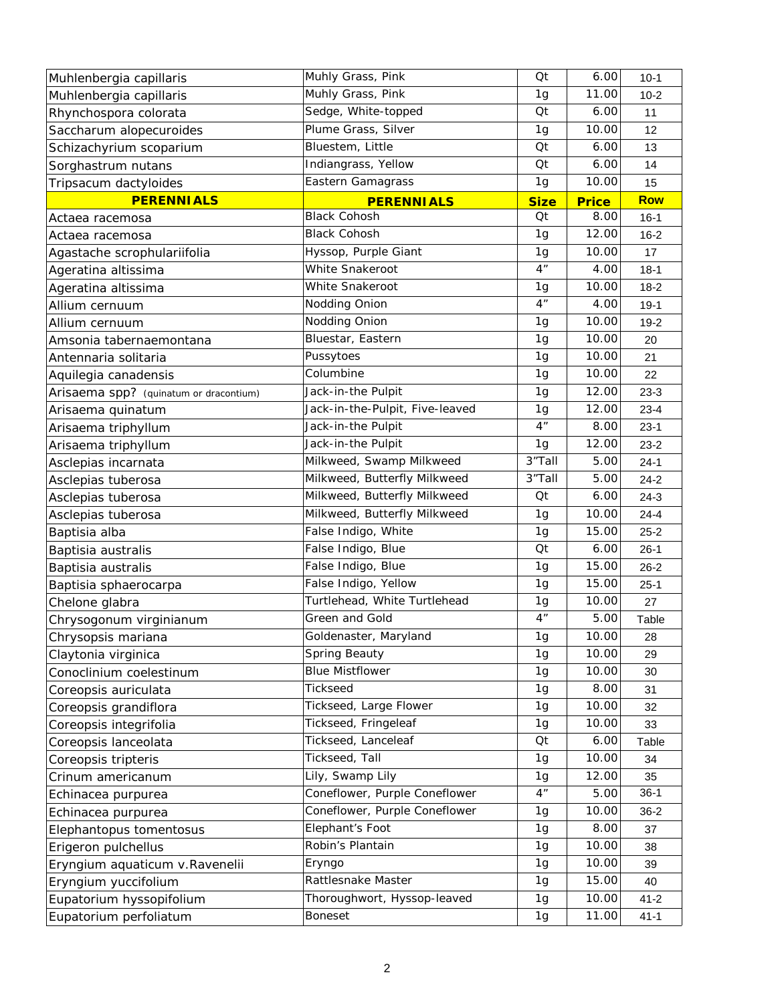| Muhlenbergia capillaris                | Muhly Grass, Pink               | Qt              | 6.00         | $10-1$     |
|----------------------------------------|---------------------------------|-----------------|--------------|------------|
| Muhlenbergia capillaris                | Muhly Grass, Pink               | 1g              | 11.00        | $10 - 2$   |
| Rhynchospora colorata                  | Sedge, White-topped             | Qt              | 6.00         | 11         |
| Saccharum alopecuroides                | Plume Grass, Silver             | 1g              | 10.00        | 12         |
| Schizachyrium scoparium                | Bluestem, Little                | Qt              | 6.00         | 13         |
| Sorghastrum nutans                     | Indiangrass, Yellow             | Qt              | 6.00         | 14         |
| Tripsacum dactyloides                  | Eastern Gamagrass               | 1g              | 10.00        | 15         |
| <b>PERENNIALS</b>                      | <b>PERENNIALS</b>               | <b>Size</b>     | <b>Price</b> | <b>Row</b> |
| Actaea racemosa                        | <b>Black Cohosh</b>             | Qt              | 8.00         | $16 - 1$   |
| Actaea racemosa                        | <b>Black Cohosh</b>             | 1g              | 12.00        | $16 - 2$   |
| Agastache scrophulariifolia            | Hyssop, Purple Giant            | 1g              | 10.00        | 17         |
| Ageratina altissima                    | White Snakeroot                 | 4 <sup>n</sup>  | 4.00         | $18-1$     |
| Ageratina altissima                    | White Snakeroot                 | 1 <sub>g</sub>  | 10.00        | $18-2$     |
| Allium cernuum                         | Nodding Onion                   | 4 <sup>''</sup> | 4.00         | $19-1$     |
| Allium cernuum                         | Nodding Onion                   | 1g              | 10.00        | $19-2$     |
| Amsonia tabernaemontana                | Bluestar, Eastern               | 1 <sub>g</sub>  | 10.00        | 20         |
| Antennaria solitaria                   | Pussytoes                       | 1g              | 10.00        | 21         |
| Aquilegia canadensis                   | Columbine                       | 1 <sub>g</sub>  | 10.00        | 22         |
| Arisaema spp? (quinatum or dracontium) | Jack-in-the Pulpit              | 1g              | 12.00        | $23-3$     |
| Arisaema quinatum                      | Jack-in-the-Pulpit, Five-leaved | 1g              | 12.00        | $23 - 4$   |
| Arisaema triphyllum                    | Jack-in-the Pulpit              | 4 <sup>n</sup>  | 8.00         | $23-1$     |
| Arisaema triphyllum                    | Jack-in-the Pulpit              | 1g              | 12.00        | $23 - 2$   |
| Asclepias incarnata                    | Milkweed, Swamp Milkweed        | 3"Tall          | 5.00         | $24-1$     |
| Asclepias tuberosa                     | Milkweed, Butterfly Milkweed    | 3"Tall          | 5.00         | $24 - 2$   |
| Asclepias tuberosa                     | Milkweed, Butterfly Milkweed    | Qt              | 6.00         | $24-3$     |
| Asclepias tuberosa                     | Milkweed, Butterfly Milkweed    | 1 <sub>g</sub>  | 10.00        | $24 - 4$   |
| Baptisia alba                          | False Indigo, White             | 1 <sub>g</sub>  | 15.00        | $25 - 2$   |
| Baptisia australis                     | False Indigo, Blue              | Qt              | 6.00         | $26-1$     |
| Baptisia australis                     | False Indigo, Blue              | 1 <sub>g</sub>  | 15.00        | $26 - 2$   |
| Baptisia sphaerocarpa                  | False Indigo, Yellow            | 1g              | 15.00        | $25-1$     |
| Chelone glabra                         | Turtlehead, White Turtlehead    | 1g              | 10.00        | 27         |
| Chrysogonum virginianum                | Green and Gold                  | 4 <sup>n</sup>  | 5.00         | Table      |
| Chrysopsis mariana                     | Goldenaster, Maryland           | 1g              | 10.00        | 28         |
| Claytonia virginica                    | Spring Beauty                   | 1g              | 10.00        | 29         |
| Conoclinium coelestinum                | <b>Blue Mistflower</b>          | 1g              | 10.00        | 30         |
| Coreopsis auriculata                   | Tickseed                        | 1g              | 8.00         | 31         |
| Coreopsis grandiflora                  | Tickseed, Large Flower          | 1g              | 10.00        | 32         |
| Coreopsis integrifolia                 | Tickseed, Fringeleaf            | 1g              | 10.00        | 33         |
| Coreopsis lanceolata                   | Tickseed, Lanceleaf             | Qt              | 6.00         | Table      |
| Coreopsis tripteris                    | Tickseed, Tall                  | 1g              | 10.00        | 34         |
| Crinum americanum                      | Lily, Swamp Lily                | 1g              | 12.00        | 35         |
| Echinacea purpurea                     | Coneflower, Purple Coneflower   | 4 <sup>n</sup>  | 5.00         | $36-1$     |
| Echinacea purpurea                     | Coneflower, Purple Coneflower   | 1g              | 10.00        | $36 - 2$   |
| Elephantopus tomentosus                | Elephant's Foot                 | 1g              | 8.00         | 37         |
| Erigeron pulchellus                    | Robin's Plantain                | 1g              | 10.00        | 38         |
| Eryngium aquaticum v. Ravenelii        | Eryngo                          | 1g              | 10.00        | 39         |
| Eryngium yuccifolium                   | Rattlesnake Master              | 1g              | 15.00        | 40         |
| Eupatorium hyssopifolium               | Thoroughwort, Hyssop-leaved     | 1g              | 10.00        | $41 - 2$   |
| Eupatorium perfoliatum                 | <b>Boneset</b>                  | 1g              | 11.00        | $41 - 1$   |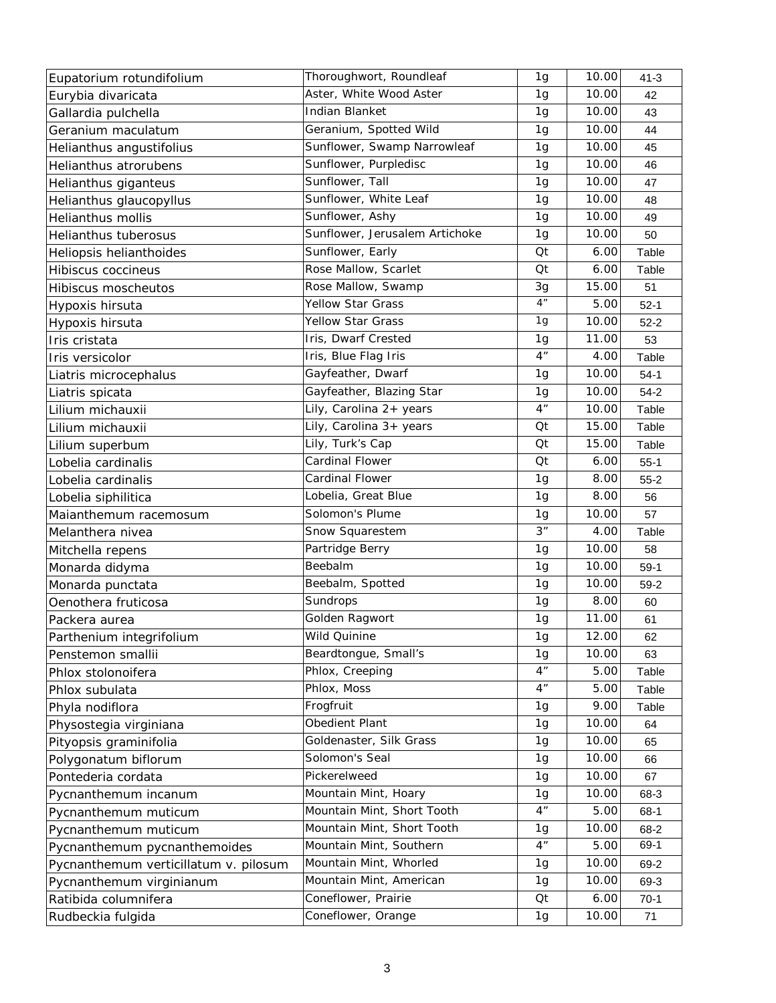| Eupatorium rotundifolium              | Thoroughwort, Roundleaf        | 1 <sub>g</sub>  | 10.00 | $41 - 3$ |
|---------------------------------------|--------------------------------|-----------------|-------|----------|
| Eurybia divaricata                    | Aster, White Wood Aster        | 1 <sub>g</sub>  | 10.00 | 42       |
| Gallardia pulchella                   | Indian Blanket                 | 1 <sub>g</sub>  | 10.00 | 43       |
| Geranium maculatum                    | Geranium, Spotted Wild         | 1g              | 10.00 | 44       |
| Helianthus angustifolius              | Sunflower, Swamp Narrowleaf    | 1 <sub>g</sub>  | 10.00 | 45       |
| Helianthus atrorubens                 | Sunflower, Purpledisc          | 1 <sub>g</sub>  | 10.00 | 46       |
| Helianthus giganteus                  | Sunflower, Tall                | 1 <sub>g</sub>  | 10.00 | 47       |
| Helianthus glaucopyllus               | Sunflower, White Leaf          | 1g              | 10.00 | 48       |
| Helianthus mollis                     | Sunflower, Ashy                | 1g              | 10.00 | 49       |
| Helianthus tuberosus                  | Sunflower, Jerusalem Artichoke | 1 <sub>g</sub>  | 10.00 | 50       |
| Heliopsis helianthoides               | Sunflower, Early               | Qt              | 6.00  | Table    |
| <b>Hibiscus coccineus</b>             | Rose Mallow, Scarlet           | Qt              | 6.00  | Table    |
| <b>Hibiscus moscheutos</b>            | Rose Mallow, Swamp             | 3g              | 15.00 | 51       |
| Hypoxis hirsuta                       | Yellow Star Grass              | 4 <sup>''</sup> | 5.00  | $52-1$   |
| Hypoxis hirsuta                       | <b>Yellow Star Grass</b>       | 1g              | 10.00 | $52 - 2$ |
| Iris cristata                         | Iris, Dwarf Crested            | 1 <sub>g</sub>  | 11.00 | 53       |
| Iris versicolor                       | Iris, Blue Flag Iris           | 4 <sup>n</sup>  | 4.00  | Table    |
| Liatris microcephalus                 | Gayfeather, Dwarf              | 1 <sub>g</sub>  | 10.00 | $54-1$   |
| Liatris spicata                       | Gayfeather, Blazing Star       | 1 <sub>g</sub>  | 10.00 | $54-2$   |
| Lilium michauxii                      | Lily, Carolina 2+ years        | 4 <sup>n</sup>  | 10.00 | Table    |
| Lilium michauxii                      | Lily, Carolina 3+ years        | Qt              | 15.00 | Table    |
| Lilium superbum                       | Lily, Turk's Cap               | Qt              | 15.00 | Table    |
| Lobelia cardinalis                    | <b>Cardinal Flower</b>         | Qt              | 6.00  | $55-1$   |
| Lobelia cardinalis                    | Cardinal Flower                | 1g              | 8.00  | $55-2$   |
| Lobelia siphilitica                   | Lobelia, Great Blue            | 1 <sub>g</sub>  | 8.00  | 56       |
| Maianthemum racemosum                 | Solomon's Plume                | 1 <sub>g</sub>  | 10.00 | 57       |
| Melanthera nivea                      | Snow Squarestem                | 3 <sup>n</sup>  | 4.00  | Table    |
| Mitchella repens                      | Partridge Berry                | 1 <sub>g</sub>  | 10.00 | 58       |
| Monarda didyma                        | Beebalm                        | 1g              | 10.00 | $59-1$   |
| Monarda punctata                      | Beebalm, Spotted               | 1 <sub>g</sub>  | 10.00 | $59-2$   |
| Oenothera fruticosa                   | Sundrops                       | 1 <sub>g</sub>  | 8.00  | 60       |
| Packera aurea                         | Golden Ragwort                 | 1g              | 11.00 | 61       |
| Parthenium integrifolium              | Wild Quinine                   | 1g              | 12.00 | 62       |
| Penstemon smallii                     | Beardtongue, Small's           | 1g              | 10.00 | 63       |
| Phlox stolonoifera                    | Phlox, Creeping                | 4 <sup>n</sup>  | 5.00  | Table    |
| Phlox subulata                        | Phlox, Moss                    | 4 <sup>n</sup>  | 5.00  | Table    |
| Phyla nodiflora                       | Frogfruit                      | 1g              | 9.00  | Table    |
| Physostegia virginiana                | Obedient Plant                 | 1g              | 10.00 | 64       |
| Pityopsis graminifolia                | Goldenaster, Silk Grass        | 1 <sub>g</sub>  | 10.00 | 65       |
| Polygonatum biflorum                  | Solomon's Seal                 | 1g              | 10.00 | 66       |
| Pontederia cordata                    | Pickerelweed                   | 1g              | 10.00 | 67       |
| Pycnanthemum incanum                  | Mountain Mint, Hoary           | 1g              | 10.00 | 68-3     |
| Pycnanthemum muticum                  | Mountain Mint, Short Tooth     | 4 <sup>n</sup>  | 5.00  | 68-1     |
| Pycnanthemum muticum                  | Mountain Mint, Short Tooth     | 1g              | 10.00 | 68-2     |
| Pycnanthemum pycnanthemoides          | Mountain Mint, Southern        | 4 <sup>n</sup>  | 5.00  | 69-1     |
| Pycnanthemum verticillatum v. pilosum | Mountain Mint, Whorled         | 1g              | 10.00 | 69-2     |
| Pycnanthemum virginianum              | Mountain Mint, American        | 1g              | 10.00 | 69-3     |
| Ratibida columnifera                  | Coneflower, Prairie            | Qt              | 6.00  | $70-1$   |
| Rudbeckia fulgida                     | Coneflower, Orange             | 1 <sub>g</sub>  | 10.00 | 71       |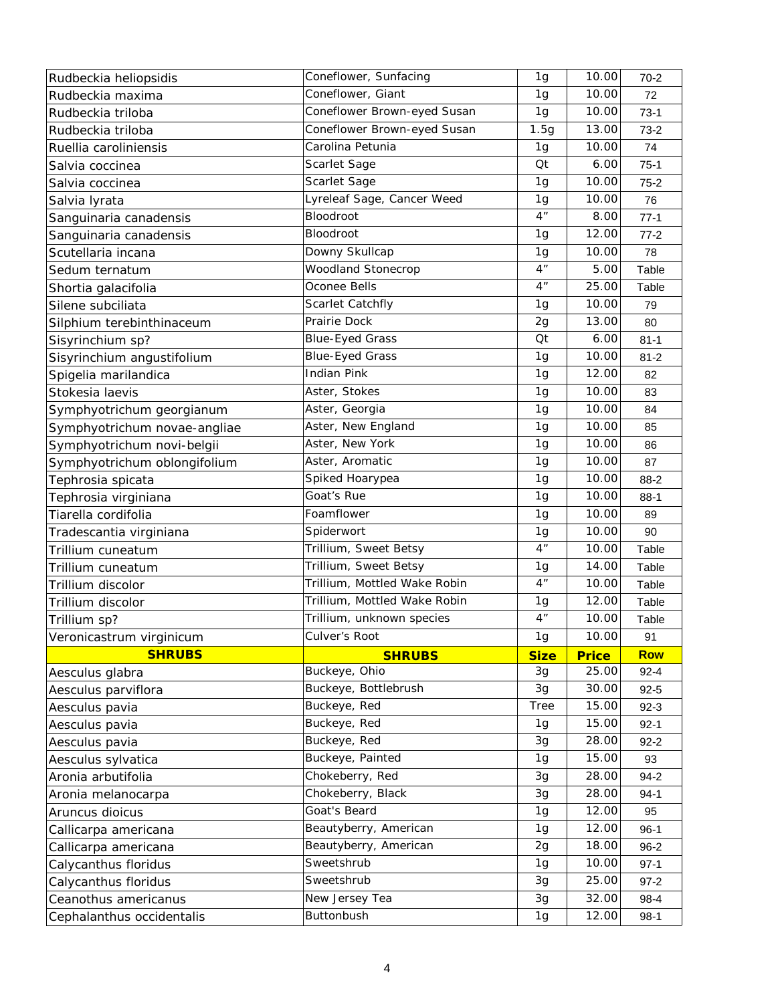| Rudbeckia heliopsidis                             | Coneflower, Sunfacing        | 1 <sub>g</sub> | 10.00          | $70 - 2$       |
|---------------------------------------------------|------------------------------|----------------|----------------|----------------|
| Rudbeckia maxima                                  | Coneflower, Giant            | 1g             | 10.00          | 72             |
| Rudbeckia triloba                                 | Coneflower Brown-eyed Susan  | 1g             | 10.00          | $73-1$         |
| Rudbeckia triloba                                 | Coneflower Brown-eyed Susan  | 1.5g           | 13.00          | $73-2$         |
| Ruellia caroliniensis                             | Carolina Petunia             | 1g             | 10.00          | 74             |
| Salvia coccinea                                   | Scarlet Sage                 | Qt             | 6.00           | $75-1$         |
| Salvia coccinea                                   | Scarlet Sage                 | 1g             | 10.00          | $75-2$         |
| Salvia Iyrata                                     | Lyreleaf Sage, Cancer Weed   | 1 <sub>g</sub> | 10.00          | 76             |
| Sanguinaria canadensis                            | Bloodroot                    | 4 <sup>n</sup> | 8.00           | $77-1$         |
| Sanguinaria canadensis                            | Bloodroot                    | 1g             | 12.00          | $77-2$         |
| Scutellaria incana                                | Downy Skullcap               | 1g             | 10.00          | 78             |
| Sedum ternatum                                    | <b>Woodland Stonecrop</b>    | 4 <sup>n</sup> | 5.00           | Table          |
| Shortia galacifolia                               | Oconee Bells                 | 4 <sup>n</sup> | 25.00          | Table          |
| Silene subciliata                                 | Scarlet Catchfly             | 1g             | 10.00          | 79             |
| Silphium terebinthinaceum                         | Prairie Dock                 | 2g             | 13.00          | 80             |
| Sisyrinchium sp?                                  | <b>Blue-Eyed Grass</b>       | Qt             | 6.00           | $81 - 1$       |
| Sisyrinchium angustifolium                        | <b>Blue-Eyed Grass</b>       | 1g             | 10.00          | $81 - 2$       |
| Spigelia marilandica                              | <b>Indian Pink</b>           | 1 <sub>g</sub> | 12.00          | 82             |
| Stokesia laevis                                   | Aster, Stokes                | 1 <sub>g</sub> | 10.00          | 83             |
| Symphyotrichum georgianum                         | Aster, Georgia               | 1 <sub>g</sub> | 10.00          | 84             |
| Symphyotrichum novae-angliae                      | Aster, New England           | 1 <sub>g</sub> | 10.00          | 85             |
| Symphyotrichum novi-belgii                        | Aster, New York              | 1g             | 10.00          | 86             |
| Symphyotrichum oblongifolium                      | Aster, Aromatic              | 1 <sub>g</sub> | 10.00          | 87             |
| Tephrosia spicata                                 | Spiked Hoarypea              | 1g             | 10.00          | 88-2           |
| Tephrosia virginiana                              | Goat's Rue                   | 1 <sub>g</sub> | 10.00          | $88-1$         |
|                                                   | Foamflower                   | 1g             | 10.00          | 89             |
| Tiarella cordifolia                               |                              |                |                |                |
| Tradescantia virginiana                           | Spiderwort                   | 1g             | 10.00          | 90             |
| Trillium cuneatum                                 | Trillium, Sweet Betsy        | 4 <sup>n</sup> | 10.00          | Table          |
| Trillium cuneatum                                 | Trillium, Sweet Betsy        | 1g             | 14.00          | Table          |
| Trillium discolor                                 | Trillium, Mottled Wake Robin | 4 <sup>n</sup> | 10.00          | Table          |
| Trillium discolor                                 | Trillium, Mottled Wake Robin | 1g             | 12.00          | Table          |
| Trillium sp?                                      | Trillium, unknown species    | 4 <sup>n</sup> | 10.00          | Table          |
| Veronicastrum virginicum                          | Culver's Root                | 1g             | 10.00          | 91             |
| <b>SHRUBS</b>                                     | <b>SHRUBS</b>                | <b>Size</b>    | <b>Price</b>   | <b>Row</b>     |
| Aesculus glabra                                   | Buckeye, Ohio                | 3g             | 25.00          | $92 - 4$       |
| Aesculus parviflora                               | Buckeye, Bottlebrush         | 3g             | 30.00          | $92 - 5$       |
| Aesculus pavia                                    | Buckeye, Red                 | <b>Tree</b>    | 15.00          | $92-3$         |
| Aesculus pavia                                    | Buckeye, Red                 | 1 <sub>g</sub> | 15.00          | $92 - 1$       |
| Aesculus pavia                                    | Buckeye, Red                 | 3g             | 28.00          | $92 - 2$       |
| Aesculus sylvatica                                | Buckeye, Painted             | 1g             | 15.00          | 93             |
| Aronia arbutifolia                                | Chokeberry, Red              | 3g             | 28.00          | $94 - 2$       |
| Aronia melanocarpa                                | Chokeberry, Black            | 3g             | 28.00          | $94-1$         |
| Aruncus dioicus                                   | Goat's Beard                 | 1g             | 12.00          | 95             |
| Callicarpa americana                              | Beautyberry, American        | 1g             | 12.00          | $96-1$         |
| Callicarpa americana                              | Beautyberry, American        | 2g             | 18.00          | $96 - 2$       |
| Calycanthus floridus                              | Sweetshrub                   | 1g             | 10.00          | $97-1$         |
| Calycanthus floridus                              | Sweetshrub                   | 3g             | 25.00          | $97 - 2$       |
| Ceanothus americanus<br>Cephalanthus occidentalis | New Jersey Tea<br>Buttonbush | 3g<br>1g       | 32.00<br>12.00 | 98-4<br>$98-1$ |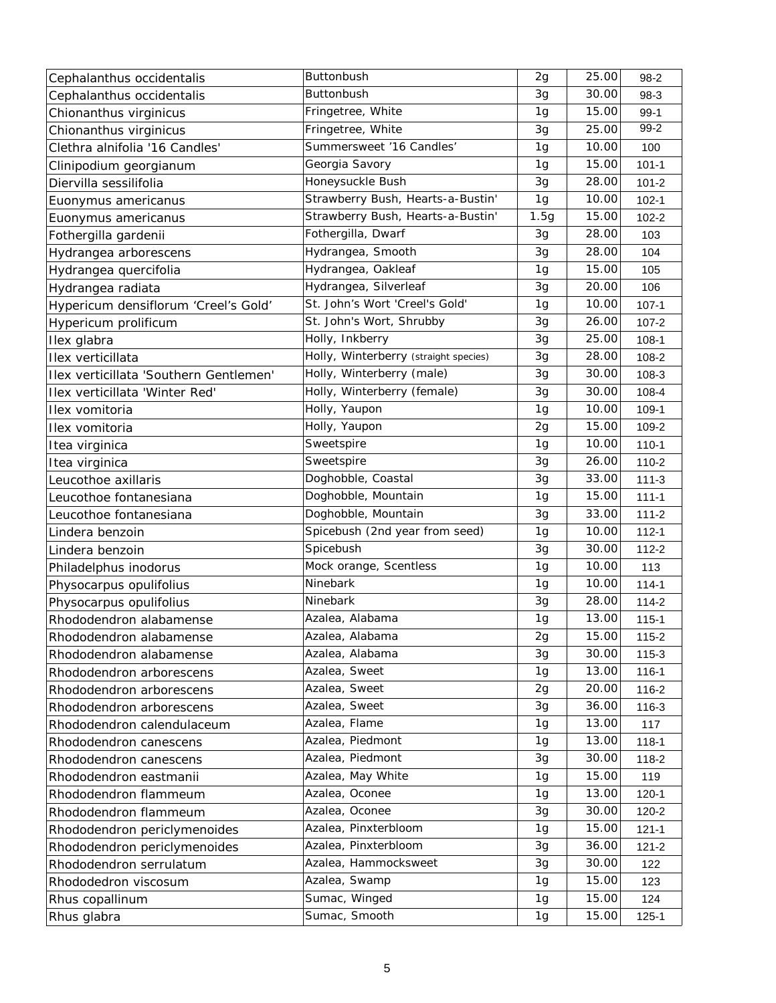| Cephalanthus occidentalis              | <b>Buttonbush</b>                     | 2g             | 25.00 | $98-2$    |
|----------------------------------------|---------------------------------------|----------------|-------|-----------|
| Cephalanthus occidentalis              | Buttonbush                            | 3g             | 30.00 | 98-3      |
| Chionanthus virginicus                 | Fringetree, White                     | 1 <sub>g</sub> | 15.00 | $99-1$    |
| Chionanthus virginicus                 | Fringetree, White                     | 3g             | 25.00 | 99-2      |
| Clethra alnifolia '16 Candles'         | Summersweet '16 Candles'              | 1 <sub>g</sub> | 10.00 | 100       |
| Clinipodium georgianum                 | Georgia Savory                        | 1 <sub>g</sub> | 15.00 | $101 - 1$ |
| Diervilla sessilifolia                 | Honeysuckle Bush                      | 3g             | 28.00 | $101 - 2$ |
| Euonymus americanus                    | Strawberry Bush, Hearts-a-Bustin'     | 1g             | 10.00 | $102 - 1$ |
| Euonymus americanus                    | Strawberry Bush, Hearts-a-Bustin'     | 1.5g           | 15.00 | $102 - 2$ |
| Fothergilla gardenii                   | Fothergilla, Dwarf                    | 3g             | 28.00 | 103       |
| Hydrangea arborescens                  | Hydrangea, Smooth                     | 3g             | 28.00 | 104       |
| Hydrangea quercifolia                  | Hydrangea, Oakleaf                    | 1g             | 15.00 | 105       |
| Hydrangea radiata                      | Hydrangea, Silverleaf                 | 3g             | 20.00 | 106       |
| Hypericum densiflorum 'Creel's Gold'   | St. John's Wort 'Creel's Gold'        | 1g             | 10.00 | $107 - 1$ |
| Hypericum prolificum                   | St. John's Wort, Shrubby              | 3g             | 26.00 | $107 - 2$ |
| Ilex glabra                            | Holly, Inkberry                       | 3g             | 25.00 | $108-1$   |
| Ilex verticillata                      | Holly, Winterberry (straight species) | 3g             | 28.00 | 108-2     |
| Ilex verticillata 'Southern Gentlemen' | Holly, Winterberry (male)             | 3g             | 30.00 | 108-3     |
| Ilex verticillata 'Winter Red'         | Holly, Winterberry (female)           | 3g             | 30.00 | 108-4     |
| Ilex vomitoria                         | Holly, Yaupon                         | 1g             | 10.00 | 109-1     |
| Ilex vomitoria                         | Holly, Yaupon                         | 2g             | 15.00 | 109-2     |
| Itea virginica                         | Sweetspire                            | 1g             | 10.00 | $110 - 1$ |
| Itea virginica                         | Sweetspire                            | 3g             | 26.00 | 110-2     |
| Leucothoe axillaris                    | Doghobble, Coastal                    | 3g             | 33.00 | $111 - 3$ |
| Leucothoe fontanesiana                 | Doghobble, Mountain                   | 1 <sub>g</sub> | 15.00 | $111 - 1$ |
| Leucothoe fontanesiana                 | Doghobble, Mountain                   | 3g             | 33.00 | $111 - 2$ |
| Lindera benzoin                        | Spicebush (2nd year from seed)        | 1g             | 10.00 | $112 - 1$ |
| Lindera benzoin                        | Spicebush                             | 3g             | 30.00 | $112 - 2$ |
| Philadelphus inodorus                  | Mock orange, Scentless                | 1g             | 10.00 | 113       |
| Physocarpus opulifolius                | Ninebark                              | 1 <sub>g</sub> | 10.00 | $114 - 1$ |
| Physocarpus opulifolius                | Ninebark                              | 3g             | 28.00 | $114 - 2$ |
| Rhododendron alabamense                | Azalea, Alabama                       | 1g             | 13.00 | $115 - 1$ |
| Rhododendron alabamense                | Azalea, Alabama                       | 2g             | 15.00 | 115-2     |
| Rhododendron alabamense                | Azalea, Alabama                       | 3g             | 30.00 | $115 - 3$ |
| Rhododendron arborescens               | Azalea, Sweet                         | 1 <sub>g</sub> | 13.00 | $116 - 1$ |
| Rhododendron arborescens               | Azalea, Sweet                         | 2g             | 20.00 | 116-2     |
| Rhododendron arborescens               | Azalea, Sweet                         | 3g             | 36.00 | 116-3     |
| Rhododendron calendulaceum             | Azalea, Flame                         | 1 <sub>g</sub> | 13.00 | 117       |
| Rhododendron canescens                 | Azalea, Piedmont                      | 1 <sub>g</sub> | 13.00 | $118 - 1$ |
| Rhododendron canescens                 | Azalea, Piedmont                      | 3g             | 30.00 | 118-2     |
| Rhododendron eastmanii                 | Azalea, May White                     | 1g             | 15.00 | 119       |
| Rhododendron flammeum                  | Azalea, Oconee                        | 1g             | 13.00 | $120 - 1$ |
| Rhododendron flammeum                  | Azalea, Oconee                        | 3g             | 30.00 | $120 - 2$ |
| Rhododendron periclymenoides           | Azalea, Pinxterbloom                  | 1 <sub>g</sub> | 15.00 | $121 - 1$ |
| Rhododendron periclymenoides           | Azalea, Pinxterbloom                  | 3g             | 36.00 | $121 - 2$ |
| Rhododendron serrulatum                | Azalea, Hammocksweet                  | 3g             | 30.00 | 122       |
| Rhododedron viscosum                   | Azalea, Swamp                         | 1 <sub>g</sub> | 15.00 | 123       |
| Rhus copallinum                        | Sumac, Winged                         | 1 <sub>g</sub> | 15.00 | 124       |
| Rhus glabra                            | Sumac, Smooth                         | 1g             | 15.00 | $125 - 1$ |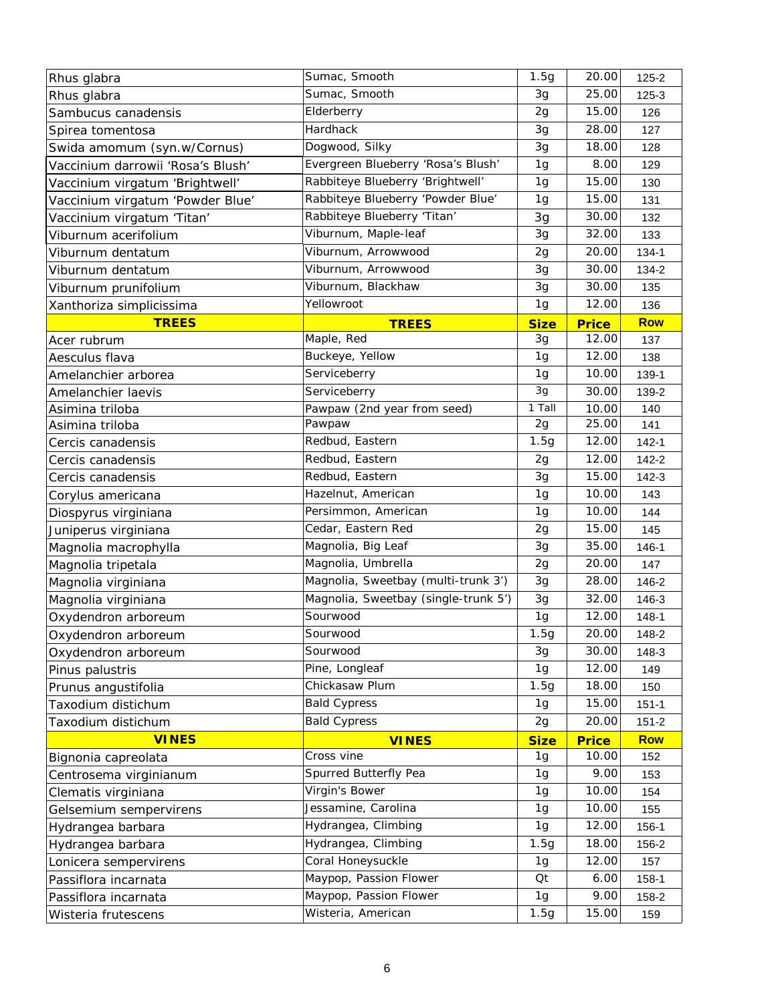| Rhus glabra                       | Sumac, Smooth                        | 1.5g           | 20.00        | $125 - 2$  |
|-----------------------------------|--------------------------------------|----------------|--------------|------------|
| Rhus glabra                       | Sumac, Smooth                        | 3g             | 25.00        | 125-3      |
| Sambucus canadensis               | Elderberry                           | 2g             | 15.00        | 126        |
| Spirea tomentosa                  | Hardhack                             | 3g             | 28.00        | 127        |
| Swida amomum (syn.w/Cornus)       | Dogwood, Silky                       | 3g             | 18.00        | 128        |
| Vaccinium darrowii 'Rosa's Blush' | Evergreen Blueberry 'Rosa's Blush'   | 1g             | 8.00         | 129        |
| Vaccinium virgatum 'Brightwell'   | Rabbiteye Blueberry 'Brightwell'     | 1g             | 15.00        | 130        |
| Vaccinium virgatum 'Powder Blue'  | Rabbiteye Blueberry 'Powder Blue'    | 1 <sub>g</sub> | 15.00        | 131        |
| Vaccinium virgatum 'Titan'        | Rabbiteye Blueberry 'Titan'          | 3g             | 30.00        | 132        |
| Viburnum acerifolium              | Viburnum, Maple-leaf                 | 3g             | 32.00        | 133        |
| Viburnum dentatum                 | Viburnum, Arrowwood                  | 2g             | 20.00        | $134 - 1$  |
| Viburnum dentatum                 | Viburnum, Arrowwood                  | 3g             | 30.00        | 134-2      |
| Viburnum prunifolium              | Viburnum, Blackhaw                   | 3g             | 30.00        | 135        |
| Xanthoriza simplicissima          | Yellowroot                           | 1g             | 12.00        | 136        |
| <b>TREES</b>                      | <b>TREES</b>                         | <b>Size</b>    | <b>Price</b> | <b>Row</b> |
| Acer rubrum                       | Maple, Red                           | 3g             | 12.00        | 137        |
| Aesculus flava                    | Buckeye, Yellow                      | 1g             | 12.00        | 138        |
| Amelanchier arborea               | Serviceberry                         | 1 <sub>g</sub> | 10.00        | 139-1      |
| Amelanchier laevis                | Serviceberry                         | 3g             | 30.00        | 139-2      |
| Asimina triloba                   | Pawpaw (2nd year from seed)          | 1 Tall         | 10.00        | 140        |
| Asimina triloba                   | Pawpaw                               | 2g             | 25.00        | 141        |
| Cercis canadensis                 | Redbud, Eastern                      | 1.5g           | 12.00        | $142 - 1$  |
| Cercis canadensis                 | Redbud, Eastern                      | 2g             | 12.00        | 142-2      |
| Cercis canadensis                 | Redbud, Eastern                      | 3g             | 15.00        | $142 - 3$  |
| Corylus americana                 | Hazelnut, American                   | 1g             | 10.00        | 143        |
| Diospyrus virginiana              | Persimmon, American                  | 1 <sub>g</sub> | 10.00        | 144        |
| Juniperus virginiana              | Cedar, Eastern Red                   | 2g             | 15.00        | 145        |
| Magnolia macrophylla              | Magnolia, Big Leaf                   | 3g             | 35.00        | $146 - 1$  |
| Magnolia tripetala                | Magnolia, Umbrella                   | 2g             | 20.00        | 147        |
| Magnolia virginiana               | Magnolia, Sweetbay (multi-trunk 3')  | 3g             | 28.00        | 146-2      |
| Magnolia virginiana               | Magnolia, Sweetbay (single-trunk 5') | 3g             | 32.00        | 146-3      |
| Oxydendron arboreum               | Sourwood                             | 1g             | 12.00        | $148 - 1$  |
| Oxydendron arboreum               | Sourwood                             | 1.5g           | 20.00        | 148-2      |
| Oxydendron arboreum               | Sourwood                             | 3g             | 30.00        | 148-3      |
| Pinus palustris                   | Pine, Longleaf                       | 1 <sub>g</sub> | 12.00        | 149        |
| Prunus angustifolia               | Chickasaw Plum                       | 1.5g           | 18.00        | 150        |
| Taxodium distichum                | <b>Bald Cypress</b>                  | 1g             | 15.00        | $151 - 1$  |
| Taxodium distichum                | <b>Bald Cypress</b>                  | 2g             | 20.00        | $151 - 2$  |
| <b>VINES</b>                      | <b>VINES</b>                         | <b>Size</b>    | <b>Price</b> | <b>Row</b> |
| Bignonia capreolata               | Cross vine                           | 1g             | 10.00        | 152        |
| Centrosema virginianum            | Spurred Butterfly Pea                | 1g             | 9.00         | 153        |
| Clematis virginiana               | Virgin's Bower                       | 1g             | 10.00        | 154        |
| Gelsemium sempervirens            | Jessamine, Carolina                  | 1g             | 10.00        | 155        |
| Hydrangea barbara                 | Hydrangea, Climbing                  | 1g             | 12.00        | 156-1      |
| Hydrangea barbara                 | Hydrangea, Climbing                  | 1.5g           | 18.00        | 156-2      |
| Lonicera sempervirens             | Coral Honeysuckle                    | 1 <sub>g</sub> | 12.00        | 157        |
| Passiflora incarnata              | Maypop, Passion Flower               | Qt             | 6.00         | 158-1      |
| Passiflora incarnata              | Maypop, Passion Flower               | 1 <sub>g</sub> | 9.00         | 158-2      |
| Wisteria frutescens               | Wisteria, American                   | 1.5g           | 15.00        | 159        |